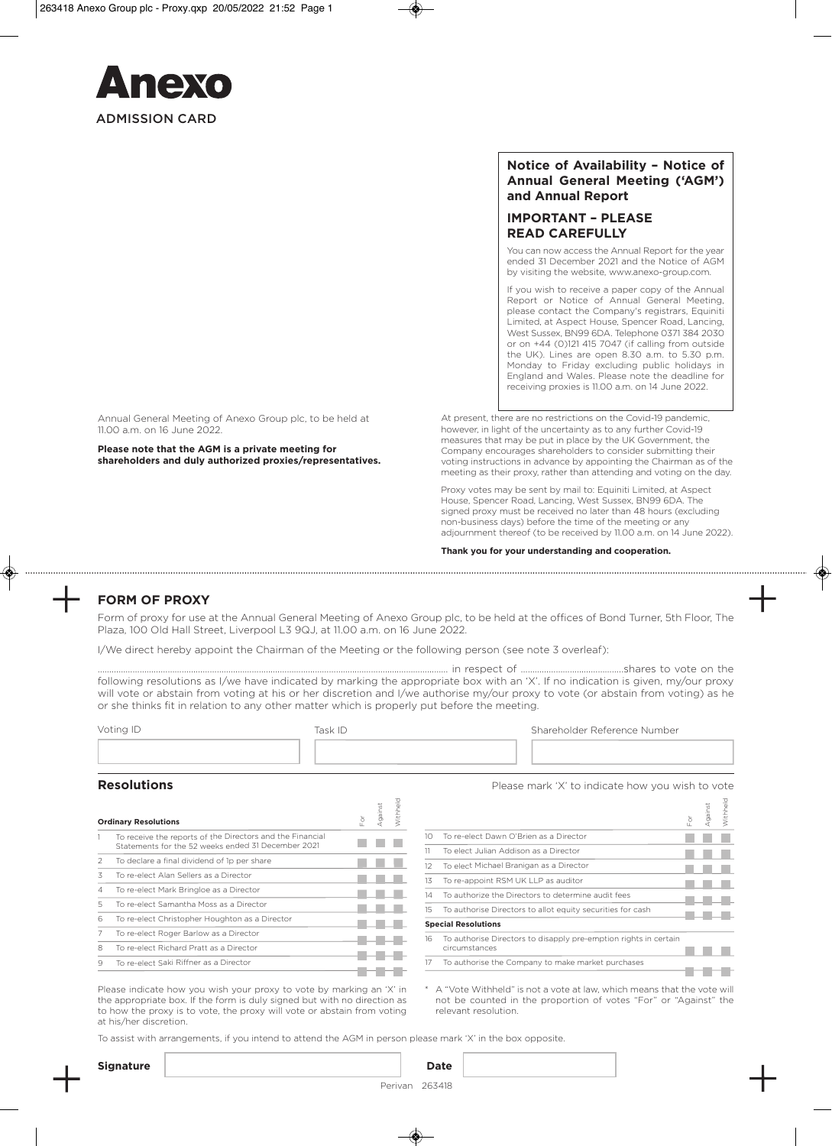

## **Notice of Availability – Notice of Annual General Meeting ('AGM') and Annual Report**

# **IMPORTANT – PLEASE READ CAREFULLY**

You can now access the Annual Report for the year ended 31 December 2021 and the Notice of AGM by visiting the website, www.anexo-group.com.

If you wish to receive a paper copy of the Annual Report or Notice of Annual General Meeting, please contact the Company's registrars, Equiniti Limited, at Aspect House, Spencer Road, Lancing, West Sussex, BN99 6DA. Telephone 0371 384 2030 or on +44 (0)121 415 7047 (if calling from outside the UK). Lines are open 8.30 a.m. to 5.30 p.m. Monday to Friday excluding public holidays in England and Wales. Please note the deadline for receiving proxies is 11.00 a.m. on 14 June 2022.

Annual General Meeting of Anexo Group plc, to be held at 11.00 a.m. on 16 June 2022.

**Please note that the AGM is a private meeting for shareholders and duly authorized proxies/representatives.** At present, there are no restrictions on the Covid-19 pandemic, however, in light of the uncertainty as to any further Covid-19 measures that may be put in place by the UK Government, the Company encourages shareholders to consider submitting their voting instructions in advance by appointing the Chairman as of the meeting as their proxy, rather than attending and voting on the day.

Proxy votes may be sent by mail to: Equiniti Limited, at Aspect House, Spencer Road, Lancing, West Sussex, BN99 6DA. The signed proxy must be received no later than 48 hours (excluding non-business days) before the time of the meeting or any adjournment thereof (to be received by 11.00 a.m. on 14 June 2022).

**Thank you for your understanding and cooperation.**

# **FORM OF PROXY**

Form of proxy for use at the Annual General Meeting of Anexo Group plc, to be held at the offices of Bond Turner, 5th Floor, The Plaza, 100 Old Hall Street, Liverpool L3 9QJ, at 11.00 a.m. on 16 June 2022.

I/We direct hereby appoint the Chairman of the Meeting or the following person (see note 3 overleaf):

…………………………………………………………………………………………………………………………………… in respect of ……………………………………..shares to vote on the following resolutions as I/we have indicated by marking the appropriate box with an 'X'. If no indication is given, my/our proxy will vote or abstain from voting at his or her discretion and I/we authorise my/our proxy to vote (or abstain from voting) as he or she thinks fit in relation to any other matter which is properly put before the meeting.

| Voting ID | Task ID | Shareholder Reference Number |  |  |
|-----------|---------|------------------------------|--|--|
|           |         |                              |  |  |

| <b>Ordinary Resolutions</b> |                                                                                                                 |  | gainst | Withhelo |
|-----------------------------|-----------------------------------------------------------------------------------------------------------------|--|--------|----------|
|                             | To receive the reports of the Directors and the Financial<br>Statements for the 52 weeks ended 31 December 2021 |  |        |          |
| 2                           | To declare a final dividend of 1p per share                                                                     |  |        |          |
| 3                           | To re-elect Alan Sellers as a Director                                                                          |  |        |          |
| 4                           | To re-elect Mark Bringloe as a Director                                                                         |  |        |          |
| 5                           | To re-elect Samantha Moss as a Director                                                                         |  |        |          |
| 6                           | To re-elect Christopher Houghton as a Director                                                                  |  |        |          |
|                             | To re-elect Roger Barlow as a Director                                                                          |  |        |          |
| 8                           | To re-elect Richard Pratt as a Director                                                                         |  |        |          |
| 9                           | To re-elect Saki Riffner as a Director                                                                          |  |        |          |
|                             |                                                                                                                 |  |        |          |

**Resolutions Resolutions Please mark 'X' to indicate how you wish to vote** 

 $\overline{\mathcal{Q}}$ 

|                 |                                                                                   | è | gainst | Withheld |
|-----------------|-----------------------------------------------------------------------------------|---|--------|----------|
| 10 <sup>o</sup> | To re-elect Dawn O'Brien as a Director                                            |   |        |          |
| 11              | To elect Julian Addison as a Director                                             |   |        |          |
| 12              | To elect Michael Branigan as a Director                                           |   |        |          |
| 13              | To re-appoint RSM UK LLP as auditor                                               |   |        |          |
| 14              | To authorize the Directors to determine audit fees                                |   |        |          |
| $15 -$          | To authorise Directors to allot equity securities for cash                        |   |        |          |
|                 | <b>Special Resolutions</b>                                                        |   |        |          |
| 16              | To authorise Directors to disapply pre-emption rights in certain<br>circumstances |   |        |          |
| 17              | To authorise the Company to make market purchases                                 |   |        |          |
|                 |                                                                                   |   |        |          |

\* A "Vote Withheld" is not a vote at law, which means that the vote will not be counted in the proportion of votes "For" or "Against" the relevant resolution.

Please indicate how you wish your proxy to vote by marking an 'X' in the appropriate box. If the form is duly signed but with no direction as to how the proxy is to vote, the proxy will vote or abstain from voting at his/her discretion.

To assist with arrangements, if you intend to attend the AGM in person please mark 'X' in the box opposite.

| ۰. | $\sim$ | ×<br>I<br>o esta |
|----|--------|------------------|
|    |        |                  |